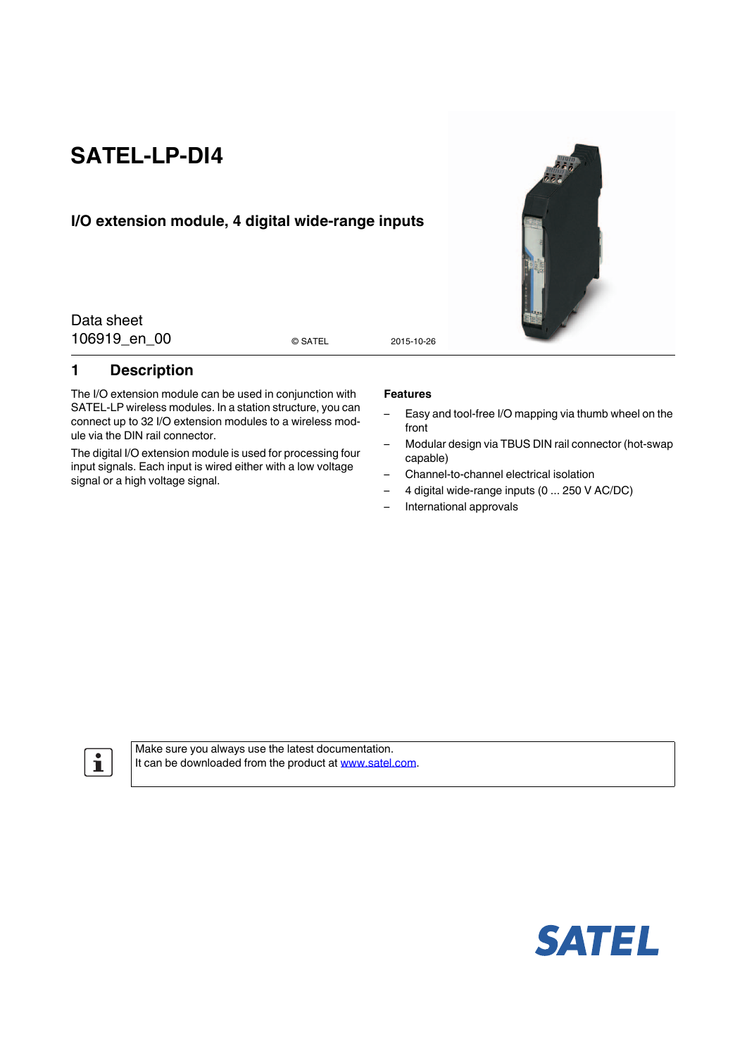# **SATEL-LP-DI4**

## **I/O extension module, 4 digital wide-range inputs**

Data sheet 106919 en 00 0 satel 2015-10-26

### <span id="page-0-0"></span>**1 Description**

The I/O extension module can be used in conjunction with SATEL-LP wireless modules. In a station structure, you can connect up to 32 I/O extension modules to a wireless module via the DIN rail connector.

The digital I/O extension module is used for processing four input signals. Each input is wired either with a low voltage signal or a high voltage signal.

#### **Features**

- Easy and tool-free I/O mapping via thumb wheel on the front
- Modular design via TBUS DIN rail connector (hot-swap capable)
- Channel-to-channel electrical isolation
- 4 digital wide-range inputs (0 ... 250 V AC/DC)
- International approvals

 $\mathbf{i}$ 

[Make sure you always use the latest documentation.](http://www.satel.com) [It can be downloaded from the product at](http://www.satel.com) www.satel.com.





© SATEL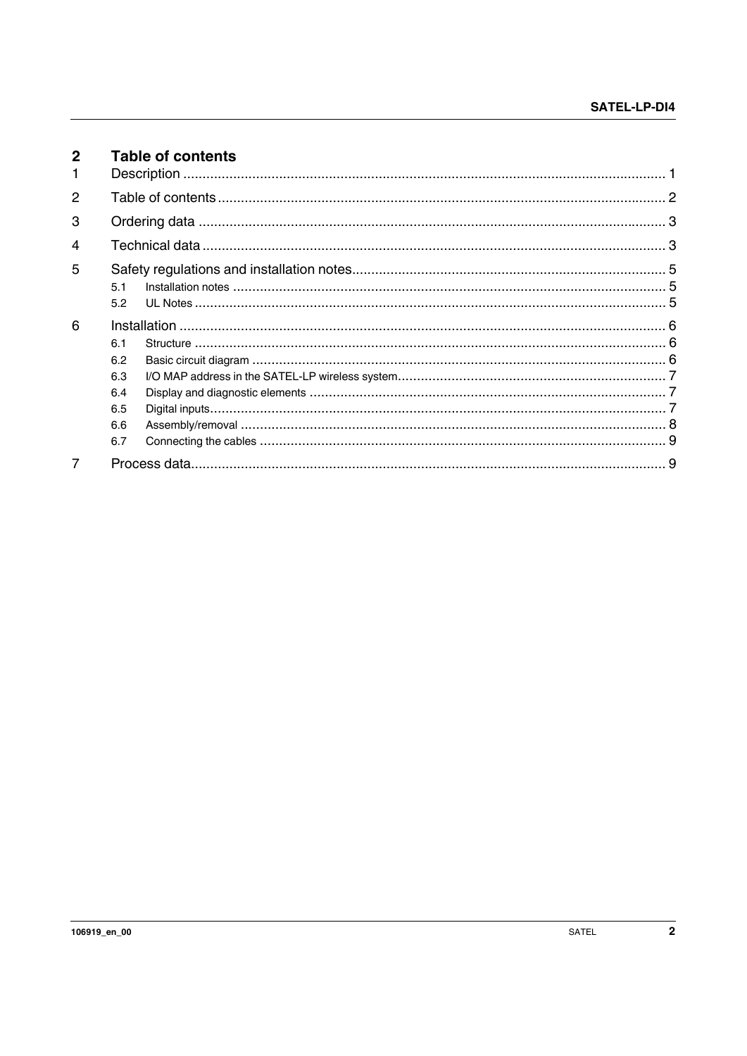<span id="page-1-0"></span>

| $\mathbf{2}$<br>1 | <b>Table of contents</b>                      |  |  |  |  |  |  |  |  |
|-------------------|-----------------------------------------------|--|--|--|--|--|--|--|--|
| $\mathcal{P}$     |                                               |  |  |  |  |  |  |  |  |
| 3                 |                                               |  |  |  |  |  |  |  |  |
| 4                 |                                               |  |  |  |  |  |  |  |  |
| 5                 | 51<br>5.2                                     |  |  |  |  |  |  |  |  |
| 6                 | 6.1<br>6.2<br>6.3<br>6.4<br>6.5<br>6.6<br>6.7 |  |  |  |  |  |  |  |  |
| 7                 |                                               |  |  |  |  |  |  |  |  |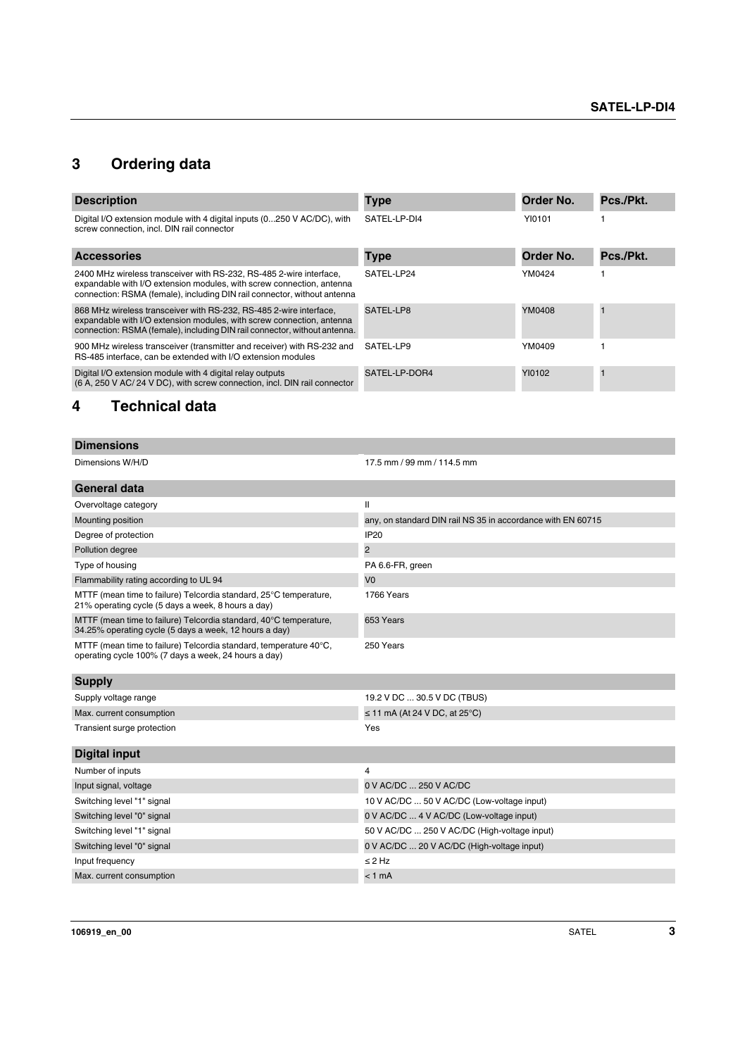## <span id="page-2-0"></span>**3 Ordering data**

| <b>Description</b>                                                                                                                                                                                                       | Type          | Order No. | Pcs./Pkt. |
|--------------------------------------------------------------------------------------------------------------------------------------------------------------------------------------------------------------------------|---------------|-----------|-----------|
| Digital I/O extension module with 4 digital inputs (0250 V AC/DC), with<br>screw connection, incl. DIN rail connector                                                                                                    | SATEL-LP-DI4  | YI0101    |           |
| <b>Accessories</b>                                                                                                                                                                                                       | <b>Type</b>   | Order No. | Pcs./Pkt. |
| 2400 MHz wireless transceiver with RS-232, RS-485 2-wire interface,<br>expandable with I/O extension modules, with screw connection, antenna<br>connection: RSMA (female), including DIN rail connector, without antenna | SATEL-LP24    | YM0424    |           |
| 868 MHz wireless transceiver with RS-232, RS-485 2-wire interface,<br>expandable with I/O extension modules, with screw connection, antenna<br>connection: RSMA (female), including DIN rail connector, without antenna. | SATEL-LP8     | YM0408    |           |
| 900 MHz wireless transceiver (transmitter and receiver) with RS-232 and<br>RS-485 interface, can be extended with I/O extension modules                                                                                  | SATEL-LP9     | YM0409    |           |
| Digital I/O extension module with 4 digital relay outputs<br>(6 A, 250 V AC/ 24 V DC), with screw connection, incl. DIN rail connector                                                                                   | SATEL-LP-DOR4 | Y10102    |           |

## <span id="page-2-1"></span>**4 Technical data**

| <b>Dimensions</b>                                                                                                           |                                                             |
|-----------------------------------------------------------------------------------------------------------------------------|-------------------------------------------------------------|
| Dimensions W/H/D                                                                                                            | 17.5 mm / 99 mm / 114.5 mm                                  |
| General data                                                                                                                |                                                             |
| Overvoltage category                                                                                                        | $\mathbf{I}$                                                |
| Mounting position                                                                                                           | any, on standard DIN rail NS 35 in accordance with EN 60715 |
| Degree of protection                                                                                                        | <b>IP20</b>                                                 |
| Pollution degree                                                                                                            | $\overline{c}$                                              |
| Type of housing                                                                                                             | PA 6.6-FR, green                                            |
| Flammability rating according to UL 94                                                                                      | V <sub>0</sub>                                              |
| MTTF (mean time to failure) Telcordia standard, 25°C temperature,<br>21% operating cycle (5 days a week, 8 hours a day)     | 1766 Years                                                  |
| MTTF (mean time to failure) Telcordia standard, 40°C temperature,<br>34.25% operating cycle (5 days a week, 12 hours a day) | 653 Years                                                   |
| MTTF (mean time to failure) Telcordia standard, temperature 40°C,<br>operating cycle 100% (7 days a week, 24 hours a day)   | 250 Years                                                   |
| <b>Supply</b>                                                                                                               |                                                             |
| Supply voltage range                                                                                                        | 19.2 V DC  30.5 V DC (TBUS)                                 |
| Max. current consumption                                                                                                    | $\leq$ 11 mA (At 24 V DC, at 25°C)                          |
| Transient surge protection                                                                                                  | Yes                                                         |
| <b>Digital input</b>                                                                                                        |                                                             |
| Number of inputs                                                                                                            | $\overline{4}$                                              |
| Input signal, voltage                                                                                                       | 0 V AC/DC  250 V AC/DC                                      |
| Switching level "1" signal                                                                                                  | 10 V AC/DC  50 V AC/DC (Low-voltage input)                  |
| Switching level "0" signal                                                                                                  | 0 V AC/DC  4 V AC/DC (Low-voltage input)                    |
| Switching level "1" signal                                                                                                  | 50 V AC/DC  250 V AC/DC (High-voltage input)                |
| Switching level "0" signal                                                                                                  | 0 V AC/DC  20 V AC/DC (High-voltage input)                  |
| Input frequency                                                                                                             | $\leq$ 2 Hz                                                 |
| Max. current consumption                                                                                                    | $< 1$ mA                                                    |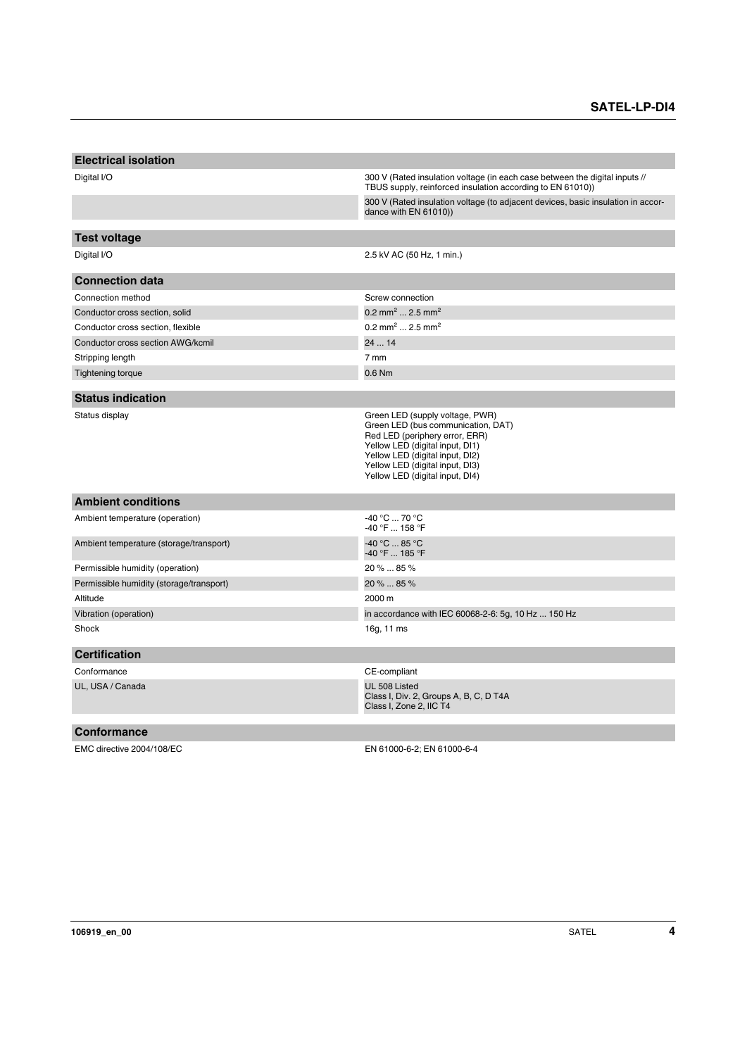| <b>Electrical isolation</b>              |                                                                                                                                                                                                                                                     |
|------------------------------------------|-----------------------------------------------------------------------------------------------------------------------------------------------------------------------------------------------------------------------------------------------------|
| Digital I/O                              | 300 V (Rated insulation voltage (in each case between the digital inputs //<br>TBUS supply, reinforced insulation according to EN 61010))                                                                                                           |
|                                          | 300 V (Rated insulation voltage (to adjacent devices, basic insulation in accor-<br>dance with EN 61010))                                                                                                                                           |
|                                          |                                                                                                                                                                                                                                                     |
| <b>Test voltage</b>                      |                                                                                                                                                                                                                                                     |
| Digital I/O                              | 2.5 kV AC (50 Hz, 1 min.)                                                                                                                                                                                                                           |
| <b>Connection data</b>                   |                                                                                                                                                                                                                                                     |
| Connection method                        | Screw connection                                                                                                                                                                                                                                    |
| Conductor cross section, solid           | 0.2 mm <sup>2</sup> 2.5 mm <sup>2</sup>                                                                                                                                                                                                             |
| Conductor cross section, flexible        | 0.2 mm <sup>2</sup> 2.5 mm <sup>2</sup>                                                                                                                                                                                                             |
| Conductor cross section AWG/kcmil        | 24  14                                                                                                                                                                                                                                              |
| Stripping length                         | 7 mm                                                                                                                                                                                                                                                |
| <b>Tightening torque</b>                 | 0.6 Nm                                                                                                                                                                                                                                              |
| <b>Status indication</b>                 |                                                                                                                                                                                                                                                     |
|                                          |                                                                                                                                                                                                                                                     |
| Status display                           | Green LED (supply voltage, PWR)<br>Green LED (bus communication, DAT)<br>Red LED (periphery error, ERR)<br>Yellow LED (digital input, DI1)<br>Yellow LED (digital input, DI2)<br>Yellow LED (digital input, DI3)<br>Yellow LED (digital input, DI4) |
| <b>Ambient conditions</b>                |                                                                                                                                                                                                                                                     |
| Ambient temperature (operation)          | -40 °C  70 °C<br>-40 °F  158 °F                                                                                                                                                                                                                     |
| Ambient temperature (storage/transport)  | -40 °C  85 °C<br>-40 °F  185 °F                                                                                                                                                                                                                     |
| Permissible humidity (operation)         | 20 %  85 %                                                                                                                                                                                                                                          |
| Permissible humidity (storage/transport) | 20 %  85 %                                                                                                                                                                                                                                          |
| Altitude                                 | 2000 m                                                                                                                                                                                                                                              |
| Vibration (operation)                    | in accordance with IEC 60068-2-6: 5g, 10 Hz  150 Hz                                                                                                                                                                                                 |
| Shock                                    | 16g, 11 ms                                                                                                                                                                                                                                          |
| <b>Certification</b>                     |                                                                                                                                                                                                                                                     |
| Conformance                              | CE-compliant                                                                                                                                                                                                                                        |
| UL, USA / Canada                         | UL 508 Listed<br>Class I, Div. 2, Groups A, B, C, D T4A<br>Class I, Zone 2, IIC T4                                                                                                                                                                  |
| <b>Conformance</b>                       |                                                                                                                                                                                                                                                     |
| EMC directive 2004/108/EC                | EN 61000-6-2; EN 61000-6-4                                                                                                                                                                                                                          |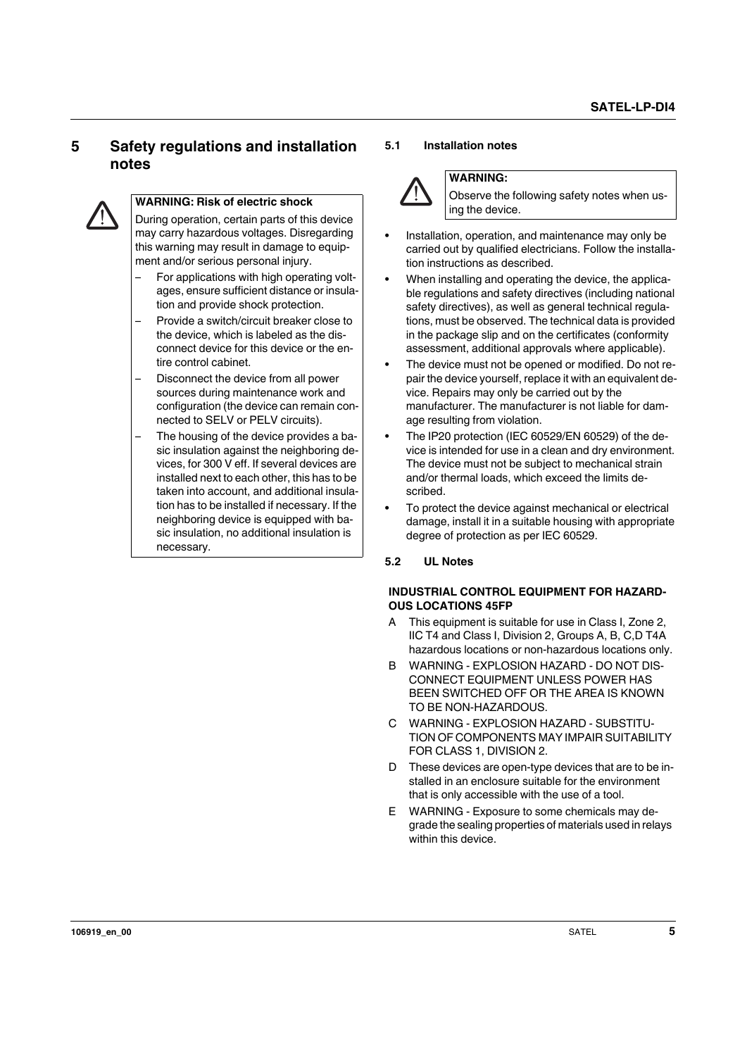## <span id="page-4-0"></span>**5 Safety regulations and installation notes**



#### **WARNING: Risk of electric shock**

During operation, certain parts of this device may carry hazardous voltages. Disregarding this warning may result in damage to equipment and/or serious personal injury.

- For applications with high operating voltages, ensure sufficient distance or insulation and provide shock protection.
- Provide a switch/circuit breaker close to the device, which is labeled as the disconnect device for this device or the entire control cabinet.
- Disconnect the device from all power sources during maintenance work and configuration (the device can remain connected to SELV or PELV circuits).
- The housing of the device provides a basic insulation against the neighboring devices, for 300 V eff. If several devices are installed next to each other, this has to be taken into account, and additional insulation has to be installed if necessary. If the neighboring device is equipped with basic insulation, no additional insulation is necessary.

#### <span id="page-4-1"></span>**5.1 Installation notes**



#### **WARNING:**

Observe the following safety notes when using the device.

- **•** Installation, operation, and maintenance may only be carried out by qualified electricians. Follow the installation instructions as described.
- **•** When installing and operating the device, the applicable regulations and safety directives (including national safety directives), as well as general technical regulations, must be observed. The technical data is provided in the package slip and on the certificates (conformity assessment, additional approvals where applicable).
- **•** The device must not be opened or modified. Do not repair the device yourself, replace it with an equivalent device. Repairs may only be carried out by the manufacturer. The manufacturer is not liable for damage resulting from violation.
- **•** The IP20 protection (IEC 60529/EN 60529) of the device is intended for use in a clean and dry environment. The device must not be subject to mechanical strain and/or thermal loads, which exceed the limits described.
- **•** To protect the device against mechanical or electrical damage, install it in a suitable housing with appropriate degree of protection as per IEC 60529.

#### <span id="page-4-2"></span>**5.2 UL Notes**

#### **INDUSTRIAL CONTROL EQUIPMENT FOR HAZARD-OUS LOCATIONS 45FP**

- A This equipment is suitable for use in Class I, Zone 2, IIC T4 and Class I, Division 2, Groups A, B, C,D T4A hazardous locations or non-hazardous locations only.
- B WARNING EXPLOSION HAZARD DO NOT DIS-CONNECT EQUIPMENT UNLESS POWER HAS BEEN SWITCHED OFF OR THE AREA IS KNOWN TO BE NON-HAZARDOUS.
- C WARNING EXPLOSION HAZARD SUBSTITU-TION OF COMPONENTS MAY IMPAIR SUITABILITY FOR CLASS 1, DIVISION 2.
- D These devices are open-type devices that are to be installed in an enclosure suitable for the environment that is only accessible with the use of a tool.
- E WARNING Exposure to some chemicals may degrade the sealing properties of materials used in relays within this device.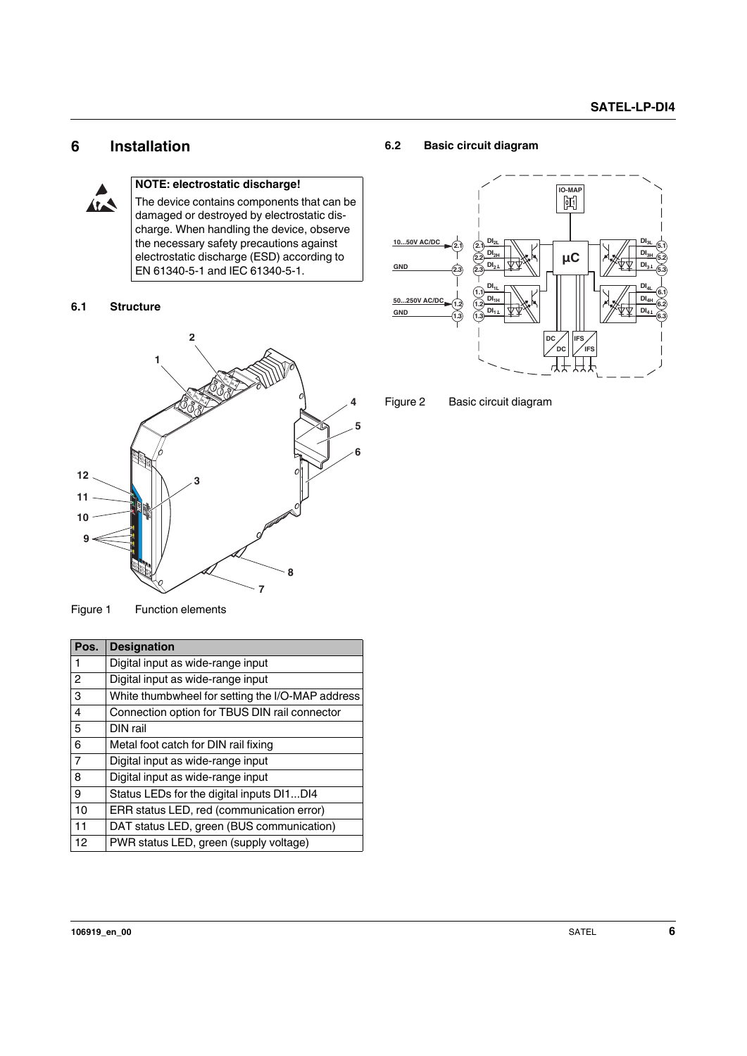## <span id="page-5-0"></span>**6 Installation**



#### **NOTE: electrostatic discharge!**

The device contains components that can be damaged or destroyed by electrostatic discharge. When handling the device, observe the necessary safety precautions against electrostatic discharge (ESD) according to EN 61340-5-1 and IEC 61340-5-1.

#### <span id="page-5-1"></span>**6.1 Structure**



Figure 1 Function elements

| Pos.           | <b>Designation</b>                               |
|----------------|--------------------------------------------------|
| 1              | Digital input as wide-range input                |
| $\overline{2}$ | Digital input as wide-range input                |
| 3              | White thumbwheel for setting the I/O-MAP address |
| 4              | Connection option for TBUS DIN rail connector    |
| 5              | DIN rail                                         |
| 6              | Metal foot catch for DIN rail fixing             |
| $\overline{7}$ | Digital input as wide-range input                |
| 8              | Digital input as wide-range input                |
| 9              | Status LEDs for the digital inputs DI1DI4        |
| 10             | ERR status LED, red (communication error)        |
| 11             | DAT status LED, green (BUS communication)        |
| 12             | PWR status LED, green (supply voltage)           |

#### <span id="page-5-2"></span>**6.2 Basic circuit diagram**



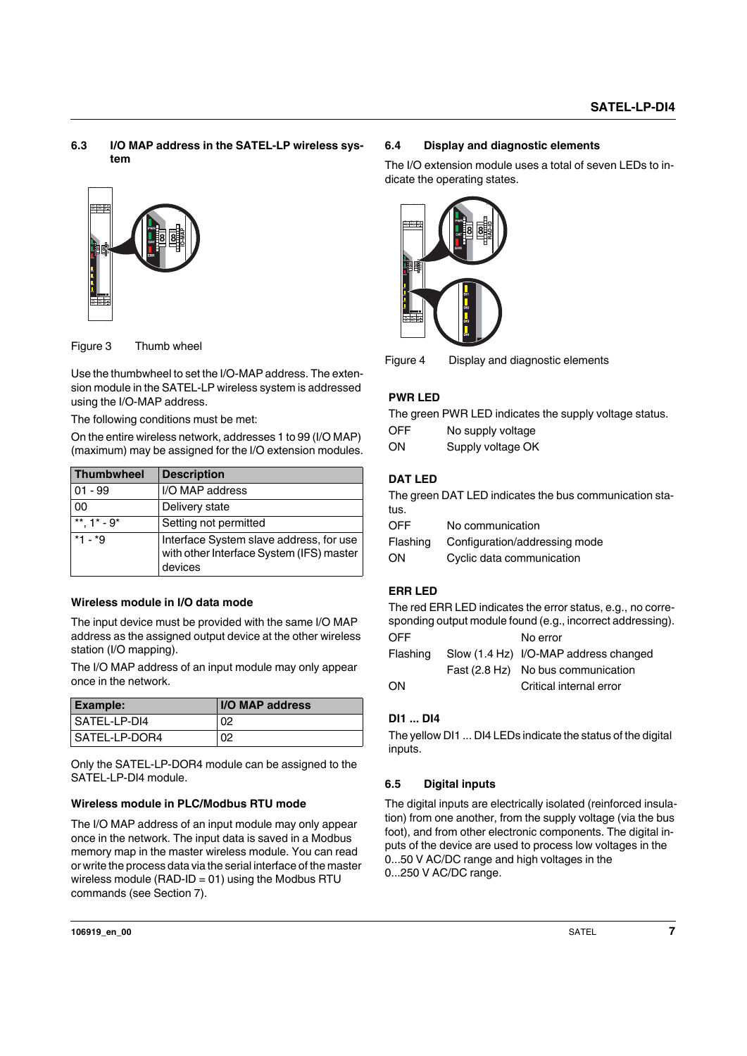#### <span id="page-6-0"></span>**6.3 I/O MAP address in the SATEL-LP wireless system**





| 10                                                                                 |                       |                                                                                                                                                                                                                                                  |
|------------------------------------------------------------------------------------|-----------------------|--------------------------------------------------------------------------------------------------------------------------------------------------------------------------------------------------------------------------------------------------|
| Figure 3                                                                           | Thumb wheel           |                                                                                                                                                                                                                                                  |
| using the I/O-MAP address.<br>The following conditions must be met:                |                       | Use the thumbwheel to set the I/O-MAP address. The exten-<br>sion module in the SATEL-LP wireless system is addressed<br>On the entire wireless network, addresses 1 to 99 (I/O MAP)<br>(maximum) may be assigned for the I/O extension modules. |
| <b>Thumbwheel</b>                                                                  | <b>Description</b>    |                                                                                                                                                                                                                                                  |
| $01 - 99$                                                                          | I/O MAP address       |                                                                                                                                                                                                                                                  |
| 00                                                                                 | Delivery state        |                                                                                                                                                                                                                                                  |
| **. $1^*$ - $9^*$                                                                  | Setting not permitted |                                                                                                                                                                                                                                                  |
| $*1 - *9$                                                                          | devices               | Interface System slave address, for use<br>with other Interface System (IFS) master                                                                                                                                                              |
| Wireless module in I/O data mode<br>station (I/O mapping).<br>once in the network. |                       | The input device must be provided with the same I/O MAP<br>address as the assigned output device at the other wireless<br>The I/O MAP address of an input module may only appear                                                                 |
| <b>Example:</b>                                                                    |                       | I/O MAP address                                                                                                                                                                                                                                  |
| SATEL-LP-DI4                                                                       |                       | 02                                                                                                                                                                                                                                               |
|                                                                                    |                       |                                                                                                                                                                                                                                                  |

#### **Wireless module in I/O data mode**

| <b>Example:</b> | <b>I/O MAP address</b> |
|-----------------|------------------------|
| l SATEL-LP-DI4  | 02                     |
| l SATEL-LP-DOR4 | 02                     |

Only the SATEL-LP-DOR4 module can be assigned to the SATEL-LP-DI4 module.

#### **Wireless module in PLC/Modbus RTU mode**

The I/O MAP address of an input module may only appear once in the network. The input data is saved in a Modbus memory map in the master wireless module. You can read or write the process data via the serial interface of the master wireless module (RAD-ID =  $01$ ) using the Modbus RTU commands (see Section 7).

#### <span id="page-6-1"></span>**6.4 Display and diagnostic elements**

The I/O extension module uses a total of seven LEDs to indicate the operating states.



Figure 4 Display and diagnostic elements

#### **PWR LED**

The green PWR LED indicates the supply voltage status.

| OFF | No supply voltage |
|-----|-------------------|
| ON  | Supply voltage OK |

#### **DAT LED**

The green DAT LED indicates the bus communication status.

OFF No communication

| Flashing | Configuration/addressing mode |
|----------|-------------------------------|
| ON       | Cyclic data communication     |

#### **ERR LED**

The red ERR LED indicates the error status, e.g., no corresponding output module found (e.g., incorrect addressing).

| OFF.     | No error                              |
|----------|---------------------------------------|
| Flashing | Slow (1.4 Hz) I/O-MAP address changed |
|          | Fast (2.8 Hz) No bus communication    |
| ON       | Critical internal error               |
|          |                                       |

#### **DI1 ... DI4**

The yellow DI1 ... DI4 LEDs indicate the status of the digital inputs.

#### <span id="page-6-2"></span>**6.5 Digital inputs**

The digital inputs are electrically isolated (reinforced insulation) from one another, from the supply voltage (via the bus foot), and from other electronic components. The digital inputs of the device are used to process low voltages in the 0...50 V AC/DC range and high voltages in the 0...250 V AC/DC range.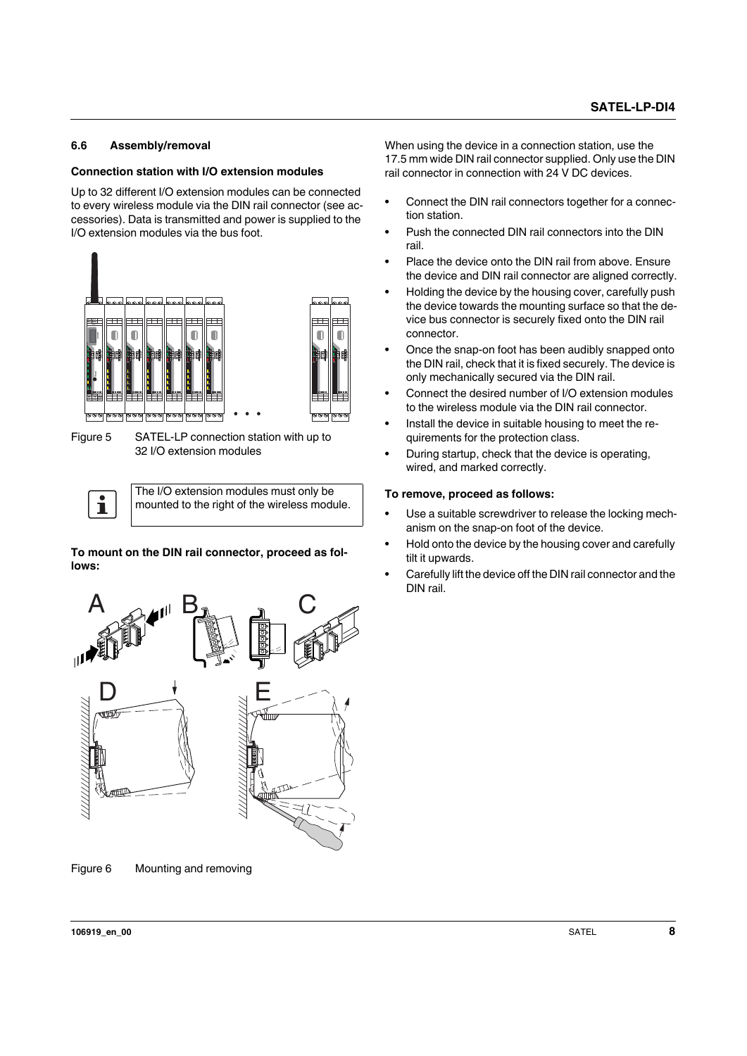#### <span id="page-7-0"></span>**6.6 Assembly/removal**

#### **Connection station with I/O extension modules**

Up to 32 different I/O extension modules can be connected to every wireless module via the DIN rail connector (see accessories). Data is transmitted and power is supplied to the I/O extension modules via the bus foot.



Figure 5 SATEL-LP connection station with up to 32 I/O extension modules

The I/O extension modules must only be  $\mathbf{i}$ mounted to the right of the wireless module.

**To mount on the DIN rail connector, proceed as follows:**



Figure 6 Mounting and removing

When using the device in a connection station, use the 17.5 mm wide DIN rail connector supplied. Only use the DIN rail connector in connection with 24 V DC devices.

- **•** Connect the DIN rail connectors together for a connection station.
- **•** Push the connected DIN rail connectors into the DIN rail.
- **•** Place the device onto the DIN rail from above. Ensure the device and DIN rail connector are aligned correctly.
- **•** Holding the device by the housing cover, carefully push the device towards the mounting surface so that the device bus connector is securely fixed onto the DIN rail connector.
- **•** Once the snap-on foot has been audibly snapped onto the DIN rail, check that it is fixed securely. The device is only mechanically secured via the DIN rail.
- **•** Connect the desired number of I/O extension modules to the wireless module via the DIN rail connector.
- **•** Install the device in suitable housing to meet the requirements for the protection class.
- **•** During startup, check that the device is operating, wired, and marked correctly.

#### **To remove, proceed as follows:**

- **•** Use a suitable screwdriver to release the locking mechanism on the snap-on foot of the device.
- **•** Hold onto the device by the housing cover and carefully tilt it upwards.
- **•** Carefully lift the device off the DIN rail connector and the DIN rail.